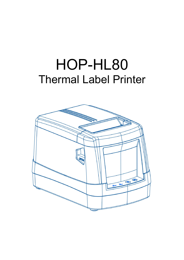## HOP-HL80 Thermal Label Printer

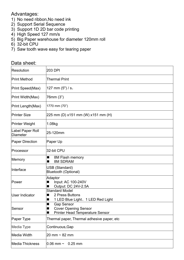## Advantages:

- 1) No need ribbon,No need ink
- 2) Support Serial Sequence
- 3) Support 1D 2D bar code printing
- 4) High Speed 127 mm/s
- 5) Big Paper warehouse for diameter 120mm roll
- 6) 32-bit CPU
- 7) Saw tooth wave easy for tearing paper

## Data sheet:

| Resolution                          | 203 DPI                                                                                         |
|-------------------------------------|-------------------------------------------------------------------------------------------------|
| <b>Print Method</b>                 | <b>Thermal Print</b>                                                                            |
| Print Speed(Max)                    | 127 mm $(5")/s$ ,                                                                               |
| Print Width(Max)                    | 76mm (3")                                                                                       |
| Print Length(Max)                   | 1770 mm (70")                                                                                   |
| Printer Size                        | 225 mm (D) x151 mm (W) x151 mm (H)                                                              |
| Printer Weight                      | 1.08kg                                                                                          |
| Label Paper Roll<br><b>Diameter</b> | 25-120mm                                                                                        |
| <b>Paper Direction</b>              | Paper Up                                                                                        |
| Processor                           | 32-bit CPU                                                                                      |
| Memory                              | 8M Flash memory<br><b>8M SDRAM</b><br>■                                                         |
| Interface                           | USB (Standard)<br><b>Bluetooth (Optional)</b>                                                   |
| Power                               | Adaptor<br>Input: AC 100-240V<br>Output: DC 24V-2.5A                                            |
| User Indicator                      | <b>Standard Model</b><br>2 Press Buttons<br>1 LED Blue Light、1 LED Red Light<br>■               |
| Sensor                              | <b>Gap Sensor</b><br>■<br><b>Cover Opening Sensor</b><br><b>Printer Head Temperature Sensor</b> |
| Paper Type                          | Thermal paper, Thermal adhesive paper, etc                                                      |
| Media Type                          | Continuous, Gap                                                                                 |
| Media Width                         | 20 mm $\sim$ 82 mm                                                                              |
| Media Thickness                     | 0.06 mm $\sim$<br>$0.25$ mm                                                                     |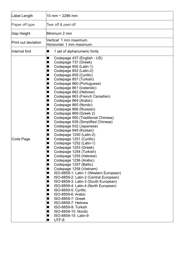| Label Length        | 10 mm $\sim$ 2286 mm                                                                                                                                                                                                                                                                                                                                                                                                                                                                                                                                                                                                                                                                                                                                                                                                                                                                                                                                                                                                                                                                                                                                                                                                                                                   |
|---------------------|------------------------------------------------------------------------------------------------------------------------------------------------------------------------------------------------------------------------------------------------------------------------------------------------------------------------------------------------------------------------------------------------------------------------------------------------------------------------------------------------------------------------------------------------------------------------------------------------------------------------------------------------------------------------------------------------------------------------------------------------------------------------------------------------------------------------------------------------------------------------------------------------------------------------------------------------------------------------------------------------------------------------------------------------------------------------------------------------------------------------------------------------------------------------------------------------------------------------------------------------------------------------|
| Paper off type      | Tear off & peel off                                                                                                                                                                                                                                                                                                                                                                                                                                                                                                                                                                                                                                                                                                                                                                                                                                                                                                                                                                                                                                                                                                                                                                                                                                                    |
| Gap Height          | Minimum 2 mm                                                                                                                                                                                                                                                                                                                                                                                                                                                                                                                                                                                                                                                                                                                                                                                                                                                                                                                                                                                                                                                                                                                                                                                                                                                           |
| Print out deviation | Vertical: 1 mm maximum.<br>Horizontal: 1 mm maximum.                                                                                                                                                                                                                                                                                                                                                                                                                                                                                                                                                                                                                                                                                                                                                                                                                                                                                                                                                                                                                                                                                                                                                                                                                   |
| Internal font       | 1 set of alphanumeric fonts<br>■                                                                                                                                                                                                                                                                                                                                                                                                                                                                                                                                                                                                                                                                                                                                                                                                                                                                                                                                                                                                                                                                                                                                                                                                                                       |
| Code Page           | Codepage 437 (English - US)<br>■<br>Codepage 737 (Greek)<br>■<br>Codepage 850 (Latin-1)<br>■<br>Codepage 852 (Latin-2)<br>■<br>Codepage 855 (Cyrillic)<br>■<br>Codepage 857 (Turkish)<br>■<br>Codepage 860 (Portuguese)<br>Codepage 861 (Icelandic)<br>Codepage 862 (Hebrew)<br>■<br>Codepage 863 (French Canadian)<br>■<br>Codepage 864 (Arabic)<br>Codepage 865 (Nordic)<br>■<br>Codepage 866 (Russian)<br>■<br>Codepage 869 (Greek 2)<br>Codepage 950 (Traditional Chinese)<br>Codepage 936 (Simplified Chinese)<br>■<br>Codepage 932 (Japanese)<br>■<br>Codepage 949 (Korean)<br>■<br>Codepage 1250 (Latin-2)<br>■<br>Codepage 1251 (Cyrillic)<br>■<br>Codepage 1252 (Latin-1)<br>Codepage 1253 (Greek)<br>ш<br>Codepage 1254 (Turkish)<br>Codepage 1255 (Hebrew)<br>Codepage 1256 (Arabic)<br>■<br>Codepage 1257 (Baltic)<br>■<br>Codepage 1258 (Vietnam)<br>■<br>ISO-8859-1: Latin-1 (Western European)<br>■<br>ISO-8859-2: Latin-2 (Central European)<br>ш<br>ISO-8859-3: Latin-3 (South European)<br>■<br>ISO-8859-4: Latin-4 (North European)<br>■<br>ISO-8859-5: Cyrillic<br>■<br>ISO-8859-6: Arabic<br>■<br>ISO-8859-7: Greek<br>■<br>ISO-8859-7: Hebrew<br>■<br>ISO-8859-9: Turkish<br>■<br>ISO-8859-10: Nordic<br>■<br>ISO-8859-15: Latin-9<br>UTF-8<br>■ |